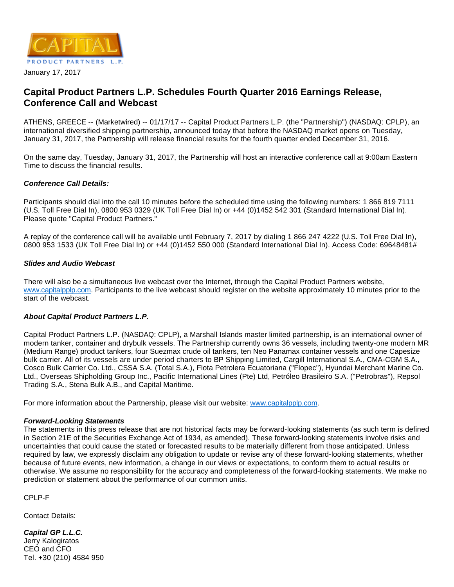

# **Capital Product Partners L.P. Schedules Fourth Quarter 2016 Earnings Release, Conference Call and Webcast**

ATHENS, GREECE -- (Marketwired) -- 01/17/17 -- Capital Product Partners L.P. (the "Partnership") (NASDAQ: CPLP), an international diversified shipping partnership, announced today that before the NASDAQ market opens on Tuesday, January 31, 2017, the Partnership will release financial results for the fourth quarter ended December 31, 2016.

On the same day, Tuesday, January 31, 2017, the Partnership will host an interactive conference call at 9:00am Eastern Time to discuss the financial results.

# **Conference Call Details:**

Participants should dial into the call 10 minutes before the scheduled time using the following numbers: 1 866 819 7111 (U.S. Toll Free Dial In), 0800 953 0329 (UK Toll Free Dial In) or +44 (0)1452 542 301 (Standard International Dial In). Please quote "Capital Product Partners."

A replay of the conference call will be available until February 7, 2017 by dialing 1 866 247 4222 (U.S. Toll Free Dial In), 0800 953 1533 (UK Toll Free Dial In) or +44 (0)1452 550 000 (Standard International Dial In). Access Code: 69648481#

### **Slides and Audio Webcast**

There will also be a simultaneous live webcast over the Internet, through the Capital Product Partners website, [www.capitalpplp.com.](http://www.capitalpplp.com/) Participants to the live webcast should register on the website approximately 10 minutes prior to the start of the webcast.

## **About Capital Product Partners L.P.**

Capital Product Partners L.P. (NASDAQ: CPLP), a Marshall Islands master limited partnership, is an international owner of modern tanker, container and drybulk vessels. The Partnership currently owns 36 vessels, including twenty-one modern MR (Medium Range) product tankers, four Suezmax crude oil tankers, ten Neo Panamax container vessels and one Capesize bulk carrier. All of its vessels are under period charters to BP Shipping Limited, Cargill International S.A., CMA-CGM S.A., Cosco Bulk Carrier Co. Ltd., CSSA S.A. (Total S.A.), Flota Petrolera Ecuatoriana ("Flopec"), Hyundai Merchant Marine Co. Ltd., Overseas Shipholding Group Inc., Pacific International Lines (Pte) Ltd, Petróleo Brasileiro S.A. ("Petrobras"), Repsol Trading S.A., Stena Bulk A.B., and Capital Maritime.

For more information about the Partnership, please visit our website: [www.capitalpplp.com](http://www.capitalpplp.com/).

#### **Forward-Looking Statements**

The statements in this press release that are not historical facts may be forward-looking statements (as such term is defined in Section 21E of the Securities Exchange Act of 1934, as amended). These forward-looking statements involve risks and uncertainties that could cause the stated or forecasted results to be materially different from those anticipated. Unless required by law, we expressly disclaim any obligation to update or revise any of these forward-looking statements, whether because of future events, new information, a change in our views or expectations, to conform them to actual results or otherwise. We assume no responsibility for the accuracy and completeness of the forward-looking statements. We make no prediction or statement about the performance of our common units.

CPLP-F

Contact Details:

**Capital GP L.L.C.** Jerry Kalogiratos CEO and CFO Tel. +30 (210) 4584 950